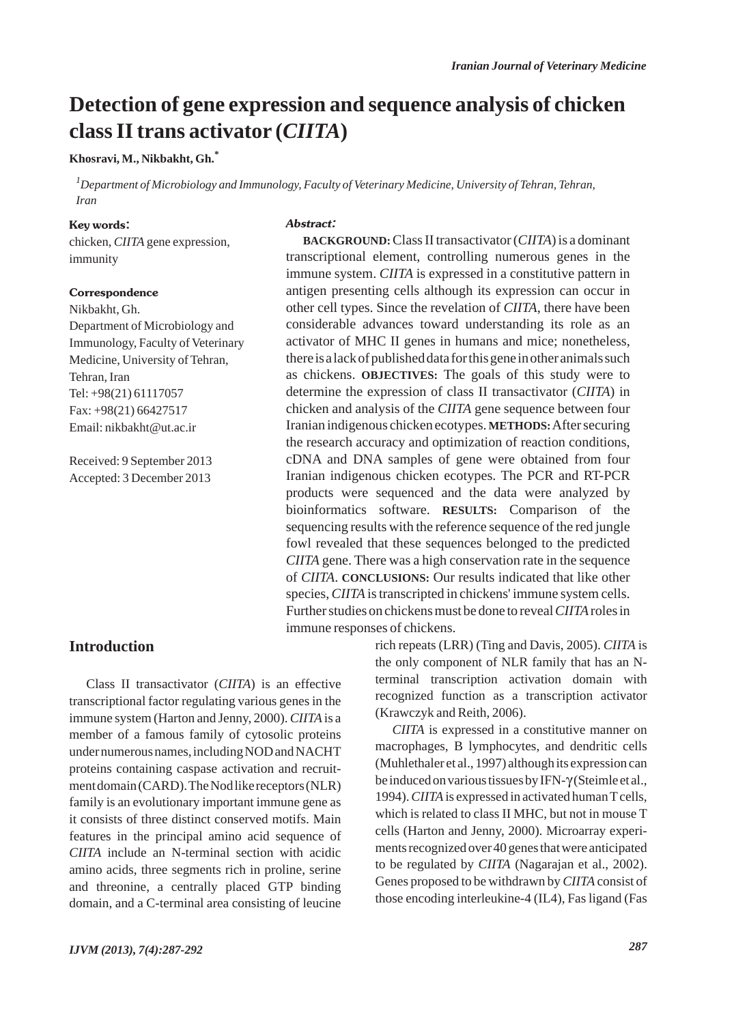## **Detection of gene expression and sequence analysis of chicken class II trans activator (***CIITA***)**

**Khosravi, M., Nikbakht, Gh.\***

*1 Department of Microbiology and Immunology, Faculty of Veterinary Medicine, University of Tehran, Tehran, Iran*

#### Key words:

chicken, *CIITA* gene expression, immunity

#### Correspondence

Nikbakht, Gh. Department of Microbiology and Immunology, Faculty of Veterinary Medicine, University of Tehran, Tehran, Iran Tel: +98(21) 61117057 Fax: +98(21) 66427517 Email: nikbakht@ut.ac.ir

Received: 9 September 2013 Accepted: 3 December 2013

#### Abstract:

**BACKGROUND:**Class II transactivator (*CIITA*) is a dominant transcriptional element, controlling numerous genes in the immune system. *CIITA* is expressed in a constitutive pattern in antigen presenting cells although its expression can occur in other cell types. Since the revelation of *CIITA*, there have been considerable advances toward understanding its role as an activator of MHC II genes in humans and mice; nonetheless, there is a lack of published data for this gene in other animals such as chickens. **OBJECTIVES:** The goals of this study were to determine the expression of class II transactivator (*CIITA*) in chicken and analysis of the *CIITA* gene sequence between four Iranian indigenous chicken ecotypes. **METHODS:**After securing the research accuracy and optimization of reaction conditions, cDNA and DNA samples of gene were obtained from four Iranian indigenous chicken ecotypes. The PCR and RT-PCR products were sequenced and the data were analyzed by bioinformatics software. **RESULTS:** Comparison of the sequencing results with the reference sequence of the red jungle fowl revealed that these sequences belonged to the predicted *CIITA* gene. There was a high conservation rate in the sequence of *CIITA*. **CONCLUSIONS:** Our results indicated that like other species, *CIITA* is transcripted in chickens' immune system cells. Further studies on chickens must be done to reveal *CIITA* roles in immune responses of chickens.

#### **Introduction**

Class II transactivator (*CIITA*) is an effective transcriptional factor regulating various genes in the immune system (Harton and Jenny, 2000). *CIITA* is a member of a famous family of cytosolic proteins under numerous names, including NOD and NACHT proteins containing caspase activation and recruitment domain (CARD). The Nod like receptors (NLR) family is an evolutionary important immune gene as it consists of three distinct conserved motifs. Main features in the principal amino acid sequence of *CIITA* include an N-terminal section with acidic amino acids, three segments rich in proline, serine and threonine, a centrally placed GTP binding domain, and a C-terminal area consisting of leucine rich repeats (LRR) (Ting and Davis, 2005). *CIITA* is the only component of NLR family that has an Nterminal transcription activation domain with recognized function as a transcription activator (Krawczyk and Reith, 2006).

*CIITA* is expressed in a constitutive manner on macrophages, B lymphocytes, and dendritic cells (Muhlethaler et al., 1997) although its expression can be induced on various tissues by IFN-γ (Steimle et al., 1994). *CIITA* is expressed in activated human T cells, which is related to class II MHC, but not in mouse T cells (Harton and Jenny, 2000). Microarray experiments recognized over 40 genes that were anticipated to be regulated by *CIITA* (Nagarajan et al., 2002). Genes proposed to be withdrawn by *CIITA* consist of those encoding interleukine-4 (IL4), Fas ligand (Fas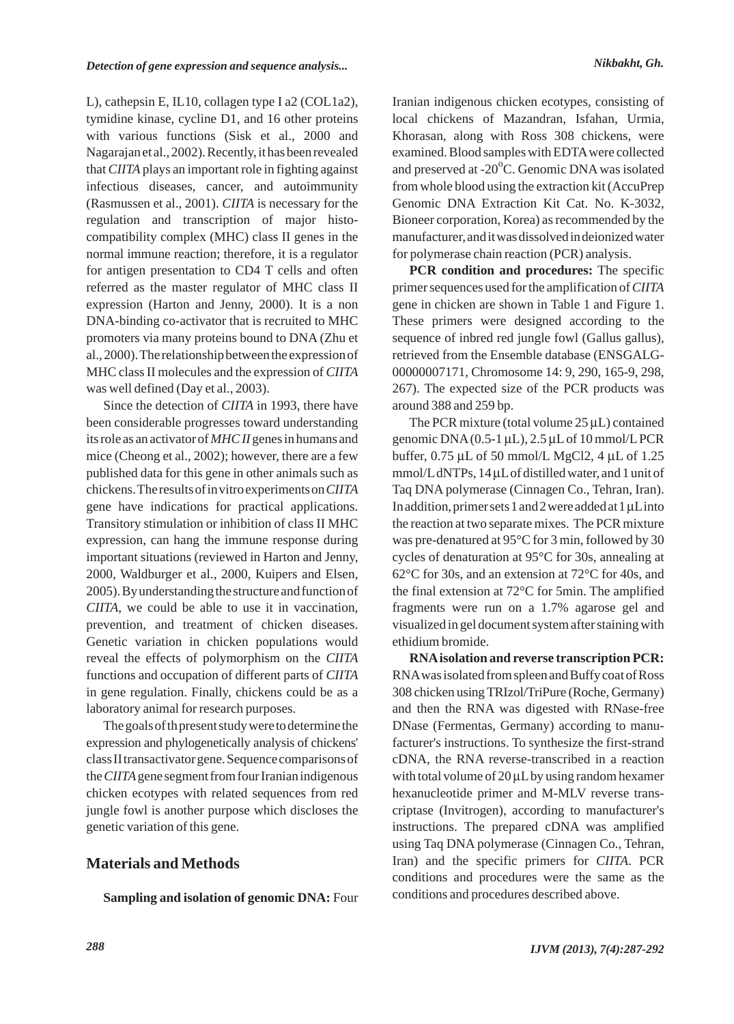L), cathepsin E, IL10, collagen type I a2 (COL1a2), tymidine kinase, cycline D1, and 16 other proteins with various functions (Sisk et al., 2000 and Nagarajan et al., 2002). Recently, it has been revealed that *CIITA* plays an important role in fighting against infectious diseases, cancer, and autoimmunity (Rasmussen et al., 2001). *CIITA* is necessary for the regulation and transcription of major histocompatibility complex (MHC) class II genes in the normal immune reaction; therefore, it is a regulator for antigen presentation to CD4 T cells and often referred as the master regulator of MHC class II expression (Harton and Jenny, 2000). It is a non DNA-binding co-activator that is recruited to MHC promoters via many proteins bound to DNA (Zhu et al., 2000). The relationship between the expression of MHC class II molecules and the expression of *CIITA* was well defined (Day et al., 2003).

Since the detection of *CIITA* in 1993, there have been considerable progresses toward understanding its role as an activator of *MHC II* genes in humans and mice (Cheong et al., 2002); however, there are a few published data for this gene in other animals such as chickens. The results of in vitro experiments on *CIITA* gene have indications for practical applications. Transitory stimulation or inhibition of class II MHC expression, can hang the immune response during important situations (reviewed in Harton and Jenny, 2000, Waldburger et al., 2000, Kuipers and Elsen, 2005). By understanding the structure and function of *CIITA*, we could be able to use it in vaccination, prevention, and treatment of chicken diseases. Genetic variation in chicken populations would reveal the effects of polymorphism on the *CIITA* functions and occupation of different parts of *CIITA* in gene regulation. Finally, chickens could be as a laboratory animal for research purposes.

The goals of th present study were to determine the expression and phylogenetically analysis of chickens' class II transactivator gene. Sequence comparisons of the *CIITA*gene segment from four Iranian indigenous chicken ecotypes with related sequences from red jungle fowl is another purpose which discloses the genetic variation of this gene.

## **Materials and Methods**

**Sampling and isolation of genomic DNA:** Four

Iranian indigenous chicken ecotypes, consisting of local chickens of Mazandran, Isfahan, Urmia, Khorasan, along with Ross 308 chickens, were examined. Blood samples with EDTAwere collected and preserved at -20 $\mathrm{^oC}$ . Genomic DNA was isolated from whole blood using the extraction kit (AccuPrep Genomic DNA Extraction Kit Cat. No. K-3032, Bioneer corporation, Korea) as recommended by the manufacturer, and it was dissolved in deionized water for polymerase chain reaction (PCR) analysis.

**PCR condition and procedures:** The specific primer sequences used for the amplification of *CIITA* gene in chicken are shown in Table 1 and Figure 1. These primers were designed according to the sequence of inbred red jungle fowl (Gallus gallus), retrieved from the Ensemble database (ENSGALG-00000007171, Chromosome 14: 9, 290, 165-9, 298, 267). The expected size of the PCR products was around 388 and 259 bp.

The PCR mixture (total volume 25 μL) contained genomic  $DNA(0.5-1 µL)$ ,  $2.5 µL$  of 10 mmol/L PCR buffer, 0.75 μL of 50 mmol/L MgCl2, 4 μL of 1.25 mmol/LdNTPs, 14 μLof distilled water, and 1 unit of Taq DNA polymerase (Cinnagen Co., Tehran, Iran). In addition, primer sets 1 and 2 were added at 1 μLinto the reaction at two separate mixes. The PCR mixture was pre-denatured at 95°C for 3 min, followed by 30 cycles of denaturation at 95°C for 30s, annealing at 62°C for 30s, and an extension at 72°C for 40s, and the final extension at 72°C for 5min. The amplified fragments were run on a 1.7% agarose gel and visualized in gel document system after staining with ethidium bromide.

**RNAisolation and reverse transcription PCR:** RNAwas isolated from spleen and Buffy coat of Ross 308 chicken using TRIzol/TriPure (Roche, Germany) and then the RNA was digested with RNase-free DNase (Fermentas, Germany) according to manufacturer's instructions. To synthesize the first-strand cDNA, the RNA reverse-transcribed in a reaction with total volume of 20 μLby using random hexamer hexanucleotide primer and M-MLV reverse transcriptase (Invitrogen), according to manufacturer's instructions. The prepared cDNA was amplified using Taq DNA polymerase (Cinnagen Co., Tehran, Iran) and the specific primers for *CIITA*. PCR conditions and procedures were the same as the conditions and procedures described above.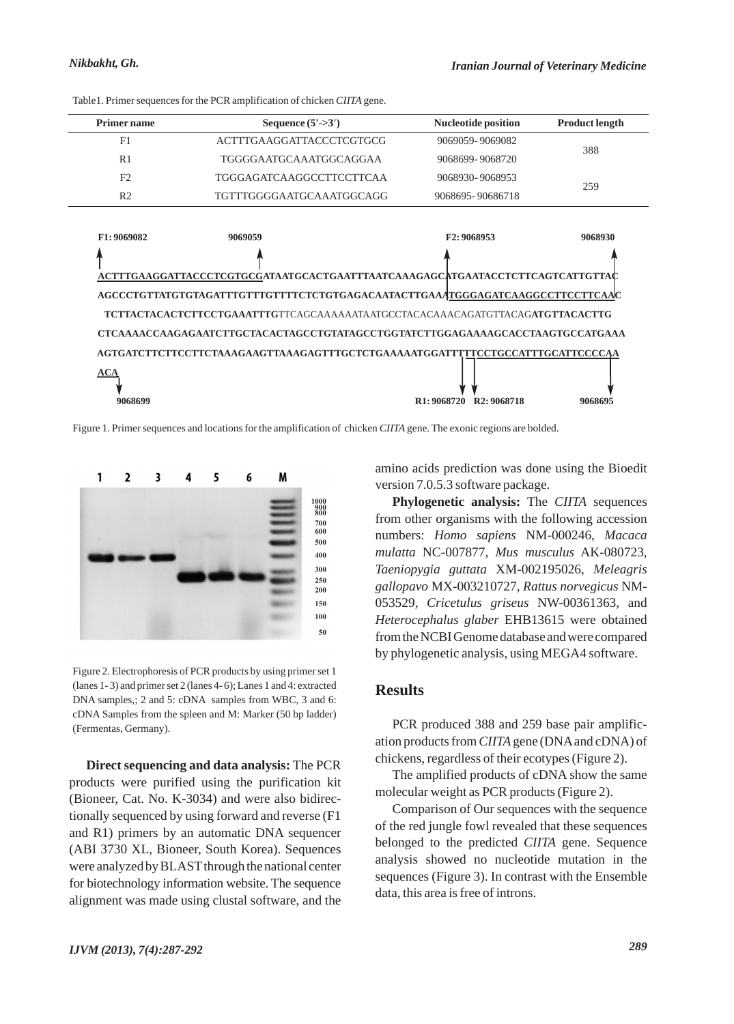| <b>Primer name</b> | Sequence $(5'-3')$              | <b>Nucleotide position</b> | <b>Product length</b> |
|--------------------|---------------------------------|----------------------------|-----------------------|
| F1                 | ACTTTGAAGGATTACCCTCGTGCG        | 9069059-9069082            | 388                   |
| R1                 | TGGGGAATGCAAATGGCAGGAA          | 9068699-9068720            |                       |
| F <sub>2</sub>     | <b>TGGGAGATCAAGGCCTTCCTTCAA</b> | 9068930-9068953            | 259                   |
| R <sub>2</sub>     | TGTTTGGGGAATGCAAATGGCAGG        | 9068695-90686718           |                       |

Table1. Primer sequences for the PCR amplification of chicken *CIITA* gene.



Figure 1. Primer sequences and locations for the amplification of chicken *CIITA* gene. The exonic regions are bolded.



Figure 2. Electrophoresis of PCR products by using primer set 1 (lanes 1- 3) and primer set 2 (lanes 4- 6); Lanes 1 and 4: extracted DNA samples,; 2 and 5: cDNA samples from WBC, 3 and 6: cDNA Samples from the spleen and M: Marker (50 bp ladder) (Fermentas, Germany).

**Direct sequencing and data analysis:** The PCR products were purified using the purification kit (Bioneer, Cat. No. K-3034) and were also bidirectionally sequenced by using forward and reverse (F1 and R1) primers by an automatic DNA sequencer (ABI 3730 XL, Bioneer, South Korea). Sequences were analyzed by BLAST through the national center for biotechnology information website. The sequence alignment was made using clustal software, and the

amino acids prediction was done using the Bioedit version 7.0.5.3 software package.

**Phylogenetic analysis:** The *CIITA* sequences from other organisms with the following accession numbers: *Homo sapiens* NM-000246, *Macaca mulatta* NC-007877, *Mus musculus* AK-080723, *Taeniopygia guttata* XM-002195026, *Meleagris gallopavo* MX-003210727, *Rattus norvegicus* NM-053529, *Cricetulus griseus* NW-00361363, and *Heterocephalus glaber* EHB13615 were obtained from the NCBI Genome database and were compared by phylogenetic analysis, using MEGA4 software.

## **Results**

PCR produced 388 and 259 base pair amplification products from *CIITA*gene (DNAand cDNA) of chickens, regardless of their ecotypes (Figure 2).

The amplified products of cDNA show the same molecular weight as PCR products (Figure 2).

Comparison of Our sequences with the sequence of the red jungle fowl revealed that these sequences belonged to the predicted *CIITA* gene. Sequence analysis showed no nucleotide mutation in the sequences (Figure 3). In contrast with the Ensemble data, this area is free of introns.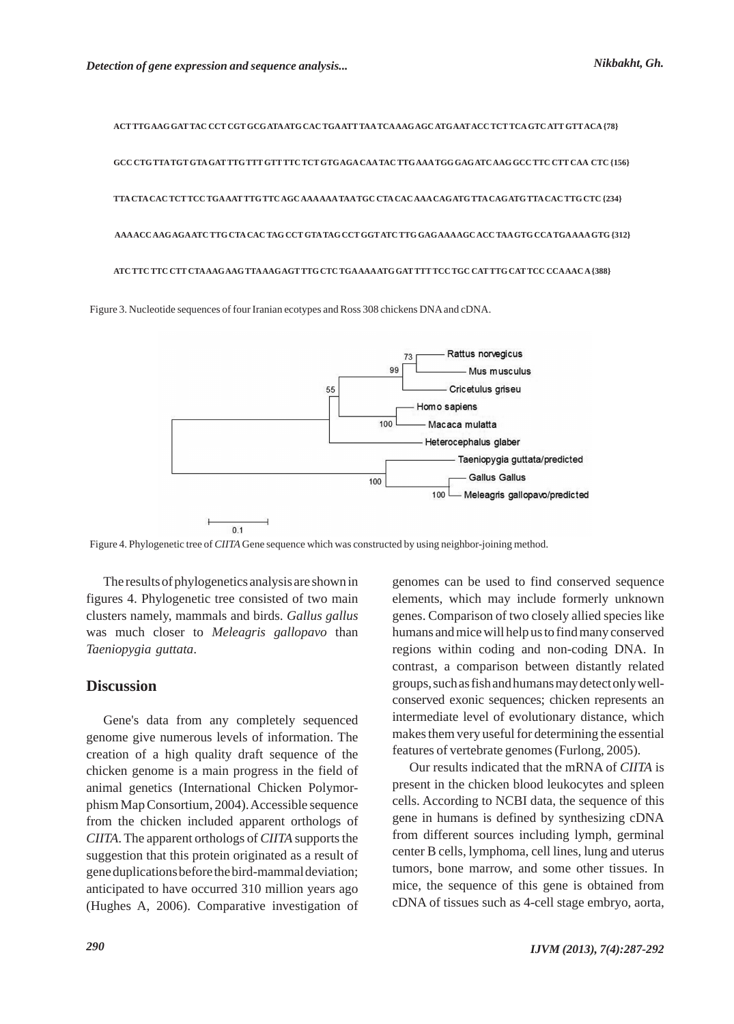**ACT TTGAAG GAT TAC CCT CGT GCGATAATG CAC TGAATT TAATCAAAGAGC ATGAATACC TCT TCAGTC ATT GTTACA{78} GCC CTGTTATGT GTAGAT TTGTTT GTT TTC TCT GTGAGACAATAC TTGAAATGG GAGATC AAG GCC TTC CTT CAA CTC {156} TTACTACAC TCT TCC TGAAAT TTGTTC AGC AAAAAATAATGC CTACAC AAACAGATGTTACAGATGTTACAC TTG CTC {234} AAAACC AAGAGAATC TTG CTACAC TAG CCT GTATAG CCT GGTATC TTG GAGAAAAGC ACC TAAGTG CCATGAAAAGTG {312} ATC TTC TTC CTT CTAAAGAAGTTAAAGAGT TTG CTC TGAAAAATG GAT TTT TCC TGC CAT TTG CAT TCC CCAAAC A{388}**

Figure 3. Nucleotide sequences of four Iranian ecotypes and Ross 308 chickens DNA and cDNA.



Figure 4. Phylogenetic tree of *CIITA* Gene sequence which was constructed by using neighbor-joining method.

The results of phylogenetics analysis are shown in figures 4. Phylogenetic tree consisted of two main clusters namely, mammals and birds. *Gallus gallus* was much closer to *Meleagris gallopavo* than *Taeniopygia guttata*.

#### **Discussion**

Gene's data from any completely sequenced genome give numerous levels of information. The creation of a high quality draft sequence of the chicken genome is a main progress in the field of animal genetics (International Chicken Polymorphism Map Consortium, 2004). Accessible sequence from the chicken included apparent orthologs of *CIITA*. The apparent orthologs of *CIITA* supports the suggestion that this protein originated as a result of gene duplications before the bird-mammal deviation; anticipated to have occurred 310 million years ago (Hughes A, 2006). Comparative investigation of genomes can be used to find conserved sequence elements, which may include formerly unknown genes. Comparison of two closely allied species like humans and mice will help us to find many conserved regions within coding and non-coding DNA. In contrast, a comparison between distantly related groups, such as fish and humans may detect only wellconserved exonic sequences; chicken represents an intermediate level of evolutionary distance, which makes them very useful for determining the essential features of vertebrate genomes (Furlong, 2005).

Our results indicated that the mRNA of *CIITA* is present in the chicken blood leukocytes and spleen cells. According to NCBI data, the sequence of this gene in humans is defined by synthesizing cDNA from different sources including lymph, germinal center B cells, lymphoma, cell lines, lung and uterus tumors, bone marrow, and some other tissues. In mice, the sequence of this gene is obtained from cDNA of tissues such as 4-cell stage embryo, aorta,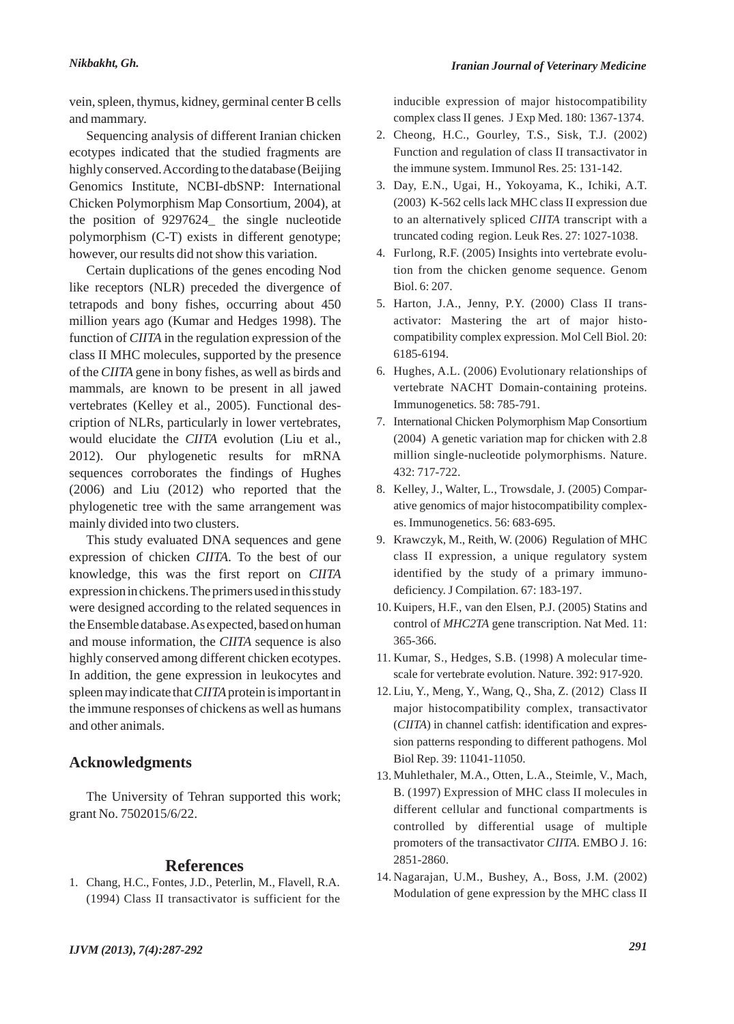vein, spleen, thymus, kidney, germinal center B cells and mammary.

Sequencing analysis of different Iranian chicken ecotypes indicated that the studied fragments are highly conserved. According to the database (Beijing Genomics Institute, NCBI-dbSNP: International Chicken Polymorphism Map Consortium, 2004), at the position of 9297624\_ the single nucleotide polymorphism (C-T) exists in different genotype; however, our results did not show this variation.

Certain duplications of the genes encoding Nod like receptors (NLR) preceded the divergence of tetrapods and bony fishes, occurring about 450 million years ago (Kumar and Hedges 1998). The function of *CIITA* in the regulation expression of the class II MHC molecules, supported by the presence of the *CIITA* gene in bony fishes, as well as birds and mammals, are known to be present in all jawed vertebrates (Kelley et al., 2005). Functional description of NLRs, particularly in lower vertebrates, would elucidate the *CIITA* evolution (Liu et al., 2012). Our phylogenetic results for mRNA sequences corroborates the findings of Hughes (2006) and Liu (2012) who reported that the phylogenetic tree with the same arrangement was mainly divided into two clusters.

This study evaluated DNA sequences and gene expression of chicken *CIITA*. To the best of our knowledge, this was the first report on *CIITA* expression in chickens. The primers used in this study were designed according to the related sequences in the Ensemble database. As expected, based on human and mouse information, the *CIITA* sequence is also highly conserved among different chicken ecotypes. In addition, the gene expression in leukocytes and spleen may indicate that *CIITA* protein is important in the immune responses of chickens as well as humans and other animals.

## **Acknowledgments**

The University of Tehran supported this work; grant No. 7502015/6/22.

## **References**

1. Chang, H.C., Fontes, J.D., Peterlin, M., Flavell, R.A. (1994) Class II transactivator is sufficient for the inducible expression of major histocompatibility complex class II genes. J Exp Med. 180: 1367-1374.

- 2. Cheong, H.C., Gourley, T.S., Sisk, T.J. (2002) Function and regulation of class II transactivator in the immune system. Immunol Res. 25: 131-142.
- Day, E.N., Ugai, H., Yokoyama, K., Ichiki, A.T. 3. (2003) K-562 cells lack MHC class II expression due to an alternatively spliced *CIITA* transcript with a truncated coding region. Leuk Res. 27: 1027-1038.
- 4. Furlong, R.F. (2005) Insights into vertebrate evolution from the chicken genome sequence. Genom Biol. 6: 207.
- 5. Harton, J.A., Jenny, P.Y. (2000) Class II transactivator: Mastering the art of major histocompatibility complex expression. Mol Cell Biol. 20: 6185-6194.
- 6. Hughes, A.L. (2006) Evolutionary relationships of vertebrate NACHT Domain-containing proteins. Immunogenetics. 58: 785-791.
- 7. International Chicken Polymorphism Map Consortium (2004) A genetic variation map for chicken with 2.8 million single-nucleotide polymorphisms. Nature. 432: 717-722.
- 8. Kelley, J., Walter, L., Trowsdale, J. (2005) Comparative genomics of major histocompatibility complexes. Immunogenetics. 56: 683-695.
- 9. Krawczyk, M., Reith, W. (2006) Regulation of MHC class II expression, a unique regulatory system identified by the study of a primary immunodeficiency. J Compilation. 67: 183-197.
- 10. Kuipers, H.F., van den Elsen, P.J. (2005) Statins and control of *MHC2TA* gene transcription. Nat Med. 11: 365-366.
- 11. Kumar, S., Hedges, S.B. (1998) A molecular timescale for vertebrate evolution. Nature. 392: 917-920.
- Liu, Y., Meng, Y., Wang, Q., Sha, Z. (2012) Class II 12. major histocompatibility complex, transactivator (*CIITA*) in channel catfish: identification and expression patterns responding to different pathogens. Mol Biol Rep. 39: 11041-11050.
- 13. Muhlethaler, M.A., Otten, L.A., Steimle, V., Mach, B. (1997) Expression of MHC class II molecules in different cellular and functional compartments is controlled by differential usage of multiple promoters of the transactivator *CIITA*. EMBO J. 16: 2851-2860.
- 14. Nagarajan, U.M., Bushey, A., Boss, J.M. (2002) Modulation of gene expression by the MHC class II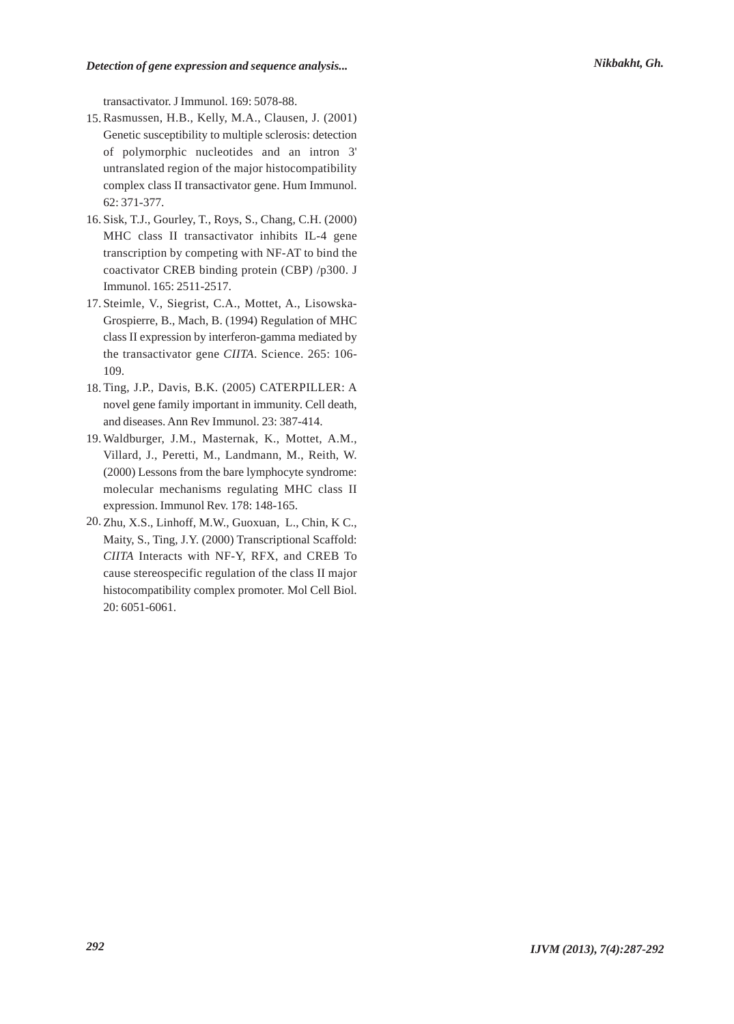transactivator. J Immunol. 169: 5078-88.

- Rasmussen, H.B., Kelly, M.A., Clausen, J. (2001) 15. Genetic susceptibility to multiple sclerosis: detection of polymorphic nucleotides and an intron 3' untranslated region of the major histocompatibility complex class II transactivator gene. Hum Immunol. 62: 371-377.
- 16. Sisk, T.J., Gourley, T., Roys, S., Chang, C.H. (2000) MHC class II transactivator inhibits IL-4 gene transcription by competing with NF-AT to bind the coactivator CREB binding protein (CBP) /p300. J Immunol. 165: 2511-2517.
- 17. Steimle, V., Siegrist, C.A., Mottet, A., Lisowska-Grospierre, B., Mach, B. (1994) Regulation of MHC class II expression by interferon-gamma mediated by the transactivator gene *CIITA*. Science. 265: 106- 109.
- 18. Ting, J.P., Davis, B.K. (2005) CATERPILLER: A novel gene family important in immunity. Cell death, and diseases. Ann Rev Immunol. 23: 387-414.
- 19. Waldburger, J.M., Masternak, K., Mottet, A.M., Villard, J., Peretti, M., Landmann, M., Reith, W. (2000) Lessons from the bare lymphocyte syndrome: molecular mechanisms regulating MHC class II expression. Immunol Rev. 178: 148-165.
- Zhu, X.S., Linhoff, M.W., Guoxuan, L., Chin, K C., 20.Maity, S., Ting, J.Y. (2000) Transcriptional Scaffold: *CIITA* Interacts with NF-Y, RFX, and CREB To cause stereospecific regulation of the class II major histocompatibility complex promoter. Mol Cell Biol. 20: 6051-6061.